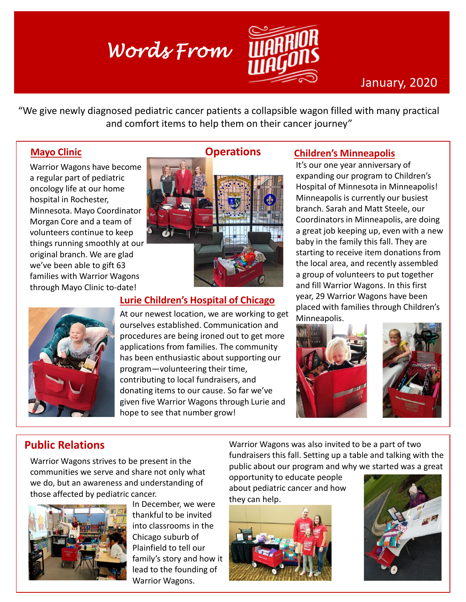# *Words From*



# January, 2020

"We give newly diagnosed pediatric cancer patients a collapsible wagon filled with many practical and comfort items to help them on their cancer journey"

#### **Mayo Clinic**

Warrior Wagons have become a regular part of pediatric oncology life at our home hospital in Rochester, Minnesota. Mayo Coordinator Morgan Core and a team of volunteers continue to keep things running smoothly at our original branch. We are glad we've been able to gift 63 families with Warrior Wagons through Mayo Clinic to-date!



### **Lurie Children's Hospital of Chicago**

At our newest location, we are working to get ourselves established. Communication and procedures are being ironed out to get more applications from families. The community has been enthusiastic about supporting our program—volunteering their time, contributing to local fundraisers, and donating items to our cause. So far we've given five Warrior Wagons through Lurie and hope to see that number grow!

#### **Children's Minneapolis**

It's our one year anniversary of expanding our program to Children's Hospital of Minnesota in Minneapolis! Minneapolis is currently our busiest branch. Sarah and Matt Steele, our Coordinators in Minneapolis, are doing a great job keeping up, even with a new baby in the family this fall. They are starting to receive item donations from the local area, and recently assembled a group of volunteers to put together and fill Warrior Wagons. In this first year, 29 Warrior Wagons have been placed with families through Children's Minneapolis.



# **Public Relations**

Warrior Wagons strives to be present in the communities we serve and share not only what we do, but an awareness and understanding of those affected by pediatric cancer.



In December, we were thankful to be invited into classrooms in the Chicago suburb of Plainfield to tell our family's story and how it lead to the founding of Warrior Wagons.

Warrior Wagons was also invited to be a part of two fundraisers this fall. Setting up a table and talking with the public about our program and why we started was a great

opportunity to educate people about pediatric cancer and how they can help.